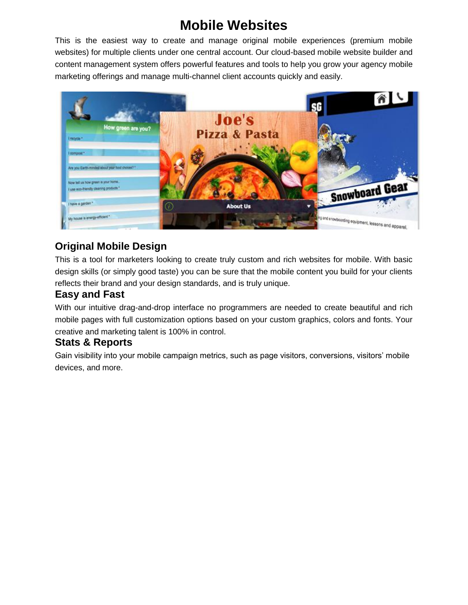# **Mobile Websites**

This is the easiest way to create and manage original mobile experiences (premium mobile websites) for multiple clients under one central account. Our cloud-based mobile website builder and content management system offers powerful features and tools to help you grow your agency mobile marketing offerings and manage multi-channel client accounts quickly and easily.



## **Original Mobile Design**

This is a tool for marketers looking to create truly custom and rich websites for mobile. With basic design skills (or simply good taste) you can be sure that the mobile content you build for your clients reflects their brand and your design standards, and is truly unique.

### **Easy and Fast**

With our intuitive drag-and-drop interface no programmers are needed to create beautiful and rich mobile pages with full customization options based on your custom graphics, colors and fonts. Your creative and marketing talent is 100% in control.

### **Stats & Reports**

Gain visibility into your mobile campaign metrics, such as page visitors, conversions, visitors' mobile devices, and more.